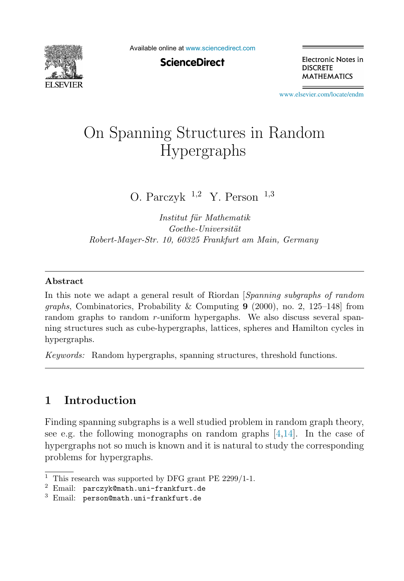

Available online at [www.sciencedirect.com](http://www.sciencedirect.com)

**ScienceDirect** 

Electronic Notes in **DISCRETE MATHEMATICS** 

[www.elsevier.com/locate/endm](http://www.elsevier.com/locate/endm)

# On Spanning Structures in Random Hypergraphs

O. Parczyk  $1,2$  Y. Person  $1,3$ 

Institut für Mathematik  $Goethe-Universität$ Robert-Mayer-Str. 10, 60325 Frankfurt am Main, Germany

#### **Abstract**

In this note we adapt a general result of Riordan [Spanning subgraphs of random graphs, Combinatorics, Probability & Computing **9** (2000), no. 2, 125–148] from random graphs to random r-uniform hypergaphs. We also discuss several spanning structures such as cube-hypergraphs, lattices, spheres and Hamilton cycles in hypergraphs.

Keywords: Random hypergraphs, spanning structures, threshold functions.

## **1 Introduction**

Finding spanning subgraphs is a well studied problem in random graph theory, see e.g. the following monographs on random graphs  $[4,14]$  $[4,14]$ . In the case of hypergraphs not so much is known and it is natural to study the corresponding problems for hypergraphs.

<sup>&</sup>lt;sup>1</sup> This research was supported by DFG grant PE  $2299/1$ -1.

 $2$  Email: parczyk@math.uni-frankfurt.de

<sup>3</sup> Email: person@math.uni-frankfurt.de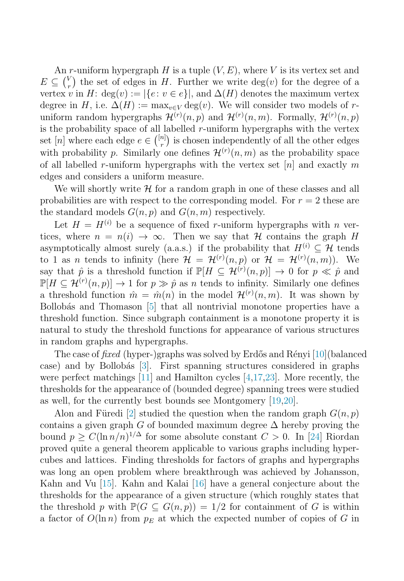An r-uniform hypergraph H is a tuple  $(V, E)$ , where V is its vertex set and  $E \subseteq {V \choose r}$  $r(r)$  the set of edges in H. Further we write  $deg(v)$  for the degree of a vertex v in H: deg(v) :=  $|\{e: v \in e\}|$ , and  $\Delta(H)$  denotes the maximum vertex degree in H, i.e.  $\Delta(H) := \max_{v \in V} \deg(v)$ . We will consider two models of runiform random hypergraphs  $\mathcal{H}^{(r)}(n,p)$  and  $\mathcal{H}^{(r)}(n,m)$ . Formally,  $\mathcal{H}^{(r)}(n,p)$ is the probability space of all labelled  $r$ -uniform hypergraphs with the vertex set [n] where each edge  $e \in \binom{[n]}{r}$  is chosen independently of all the other edges with probability p. Similarly one defines  $\mathcal{H}^{(r)}(n,m)$  as the probability space of all labelled r-uniform hypergraphs with the vertex set  $[n]$  and exactly m edges and considers a uniform measure.

We will shortly write  $\mathcal H$  for a random graph in one of these classes and all probabilities are with respect to the corresponding model. For  $r = 2$  these are the standard models  $G(n, p)$  and  $G(n, m)$  respectively.

Let  $H = H^{(i)}$  be a sequence of fixed r-uniform hypergraphs with n vertices, where  $n = n(i) \rightarrow \infty$ . Then we say that H contains the graph H asymptotically almost surely (a.a.s.) if the probability that  $H^{(i)} \subset \mathcal{H}$  tends to 1 as *n* tends to infinity (here  $\mathcal{H} = \mathcal{H}^{(r)}(n,p)$  or  $\mathcal{H} = \mathcal{H}^{(r)}(n,m)$ ). We say that  $\hat{p}$  is a threshold function if  $\mathbb{P}[H \subseteq \mathcal{H}^{(r)}(n,p)] \to 0$  for  $p \ll \hat{p}$  and  $\mathbb{P}[H \subseteq \mathcal{H}^{(r)}(n,p)] \to 1$  for  $p \gg \hat{p}$  as n tends to infinity. Similarly one defines a threshold function  $\hat{m} = \hat{m}(n)$  in the model  $\mathcal{H}^{(r)}(n,m)$ . It was shown by Bollobás and Thomason [\[5\]](#page-7-0) that all nontrivial monotone properties have a threshold function. Since subgraph containment is a monotone property it is natural to study the threshold functions for appearance of various structures in random graphs and hypergraphs.

The case of *fixed* (hyper-)graphs was solved by Erdős and Rényi [\[10\]](#page-8-0)(balanced case) and by Bollobás [\[3\]](#page-7-0). First spanning structures considered in graphs were perfect matchings [\[11\]](#page-8-0) and Hamilton cycles [\[4](#page-7-0)[,17,23\]](#page-8-0). More recently, the thresholds for the appearance of (bounded degree) spanning trees were studied as well, for the currently best bounds see Montgomery [\[19,20\]](#page-8-0).

Alon and Füredi [\[2\]](#page-7-0) studied the question when the random graph  $G(n, p)$ contains a given graph G of bounded maximum degree  $\Delta$  hereby proving the bound  $p > C(\ln n/n)^{1/\Delta}$  for some absolute constant  $C > 0$ . In [\[24\]](#page-8-0) Riordan proved quite a general theorem applicable to various graphs including hypercubes and lattices. Finding thresholds for factors of graphs and hypergraphs was long an open problem where breakthrough was achieved by Johansson, Kahn and Vu [\[15\]](#page-8-0). Kahn and Kalai [\[16\]](#page-8-0) have a general conjecture about the thresholds for the appearance of a given structure (which roughly states that the threshold p with  $\mathbb{P}(G \subseteq G(n, p)) = 1/2$  for containment of G is within a factor of  $O(\ln n)$  from  $p_E$  at which the expected number of copies of G in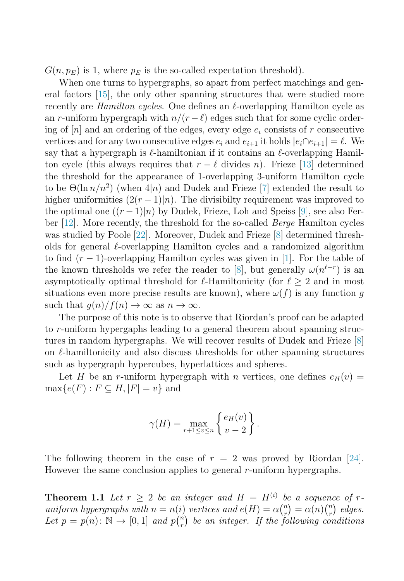<span id="page-2-0"></span> $G(n, p_E)$  is 1, where  $p_E$  is the so-called expectation threshold).

When one turns to hypergraphs, so apart from perfect matchings and general factors [\[15\]](#page-8-0), the only other spanning structures that were studied more recently are *Hamilton cycles*. One defines an  $\ell$ -overlapping Hamilton cycle as an r-uniform hypergraph with  $n/(r-\ell)$  edges such that for some cyclic ordering of  $[n]$  and an ordering of the edges, every edge  $e_i$  consists of r consecutive vertices and for any two consecutive edges  $e_i$  and  $e_{i+1}$  it holds  $|e_i \cap e_{i+1}| = \ell$ . We say that a hypergraph is  $\ell$ -hamiltonian if it contains an  $\ell$ -overlapping Hamilton cycle (this always requires that  $r - \ell$  divides n). Frieze [\[13\]](#page-8-0) determined the threshold for the appearance of 1-overlapping 3-uniform Hamilton cycle to be  $\Theta(\ln n/n^2)$  (when  $4|n\rangle$ ) and Dudek and Frieze [\[7\]](#page-7-0) extended the result to higher uniformities  $(2(r-1)|n)$ . The divisibilty requirement was improved to the optimal one  $((r-1)|n)$  by Dudek, Frieze, Loh and Speiss [\[9\]](#page-8-0), see also Ferber [\[12\]](#page-8-0). More recently, the threshold for the so-called Berge Hamilton cycles was studied by Poole [\[22\]](#page-8-0). Moreover, Dudek and Frieze [\[8\]](#page-7-0) determined thresholds for general  $\ell$ -overlapping Hamilton cycles and a randomized algorithm to find  $(r-1)$ -overlapping Hamilton cycles was given in [\[1\]](#page-7-0). For the table of the known thresholds we refer the reader to [\[8\]](#page-7-0), but generally  $\omega(n^{\ell-r})$  is an asymptotically optimal threshold for  $\ell$ -Hamiltonicity (for  $\ell \geq 2$  and in most situations even more precise results are known), where  $\omega(f)$  is any function g such that  $g(n)/f(n) \to \infty$  as  $n \to \infty$ .

The purpose of this note is to observe that Riordan's proof can be adapted to r-uniform hypergaphs leading to a general theorem about spanning structures in random hypergraphs. We will recover results of Dudek and Frieze [\[8\]](#page-7-0) on  $\ell$ -hamiltonicity and also discuss thresholds for other spanning structures such as hypergraph hypercubes, hyperlattices and spheres.

Let H be an r-uniform hypergraph with n vertices, one defines  $e_H(v)$  =  $\max\{e(F) : F \subseteq H, |F| = v\}$  and

$$
\gamma(H) = \max_{r+1 \le v \le n} \left\{ \frac{e_H(v)}{v-2} \right\}.
$$

The following theorem in the case of  $r = 2$  was proved by Riordan [\[24\]](#page-8-0). However the same conclusion applies to general r-uniform hypergraphs.

**Theorem 1.1** Let  $r > 2$  be an integer and  $H = H^{(i)}$  be a sequence of runiform hypergraphs with  $n = n(i)$  vertices and  $e(H) = \alpha {n \choose r}$  $\binom{n}{r} = \alpha(n) \binom{n}{r}$  $\binom{n}{r}$  edges. Let  $p = p(n) : \mathbb{N} \to [0, 1]$  and  $p\binom{n}{r}$  $\binom{n}{r}$  be an integer. If the following conditions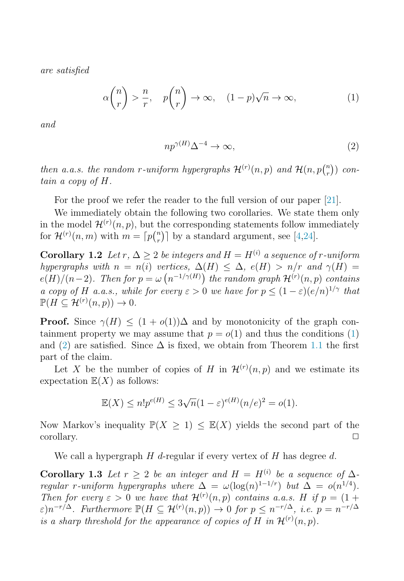<span id="page-3-0"></span>are satisfied

$$
\alpha \binom{n}{r} > \frac{n}{r}, \quad p \binom{n}{r} \to \infty, \quad (1-p)\sqrt{n} \to \infty,\tag{1}
$$

and

$$
np^{\gamma(H)}\Delta^{-4} \to \infty,\tag{2}
$$

then a.a.s. the random r-uniform hypergraphs  $\mathcal{H}^{(r)}(n,p)$  and  $\mathcal{H}(n,p)$ <sup>n</sup>  $\binom{n}{r}$ ) contain a copy of H.

For the proof we refer the reader to the full version of our paper [\[21\]](#page-8-0).

We immediately obtain the following two corollaries. We state them only in the model  $\mathcal{H}^{(r)}(n,p)$ , but the corresponding statements follow immediately for  $\mathcal{H}^{(r)}(n,m)$  with  $m = \lceil p \binom{n}{r}$  $\binom{n}{r}$  by a standard argument, see [\[4,](#page-7-0)[24\]](#page-8-0).

**Corollary 1.2** Let r,  $\Delta > 2$  be integers and  $H = H^{(i)}$  a sequence of r-uniform hypergraphs with  $n = n(i)$  vertices,  $\Delta(H) \leq \Delta$ ,  $e(H) > n/r$  and  $\gamma(H) =$  $e(H)/(n-2)$ . Then for  $p = \omega(n^{-1/\gamma(H)})$  the random graph  $\mathcal{H}^{(r)}(n,p)$  contains a copy of H a.a.s., while for every  $\varepsilon > 0$  we have for  $p \leq (1 - \varepsilon)(e/n)^{1/\gamma}$  that  $\mathbb{P}(H \subseteq \mathcal{H}^{(r)}(n,p)) \to 0.$ 

**Proof.** Since  $\gamma(H) \leq (1 + o(1))\Delta$  and by monotonicity of the graph containment property we may assume that  $p = o(1)$  and thus the conditions (1) and (2) are satisfied. Since  $\Delta$  is fixed, we obtain from Theorem [1.1](#page-2-0) the first part of the claim.

Let X be the number of copies of H in  $\mathcal{H}^{(r)}(n,p)$  and we estimate its expectation  $\mathbb{E}(X)$  as follows:

$$
\mathbb{E}(X) \le n! p^{e(H)} \le 3\sqrt{n}(1-\varepsilon)^{e(H)}(n/e)^2 = o(1).
$$

Now Markov's inequality  $\mathbb{P}(X \geq 1) \leq \mathbb{E}(X)$  yields the second part of the  $\Box$ corollary.  $\Box$ 

We call a hypergraph  $H$  d-regular if every vertex of  $H$  has degree  $d$ .

**Corollary 1.3** Let  $r > 2$  be an integer and  $H = H^{(i)}$  be a sequence of  $\Delta$ regular r-uniform hypergraphs where  $\Delta = \omega(\log(n)^{1-1/r})$  but  $\Delta = o(n^{1/4})$ . Then for every  $\varepsilon > 0$  we have that  $\mathcal{H}^{(r)}(n,p)$  contains a.a.s. H if  $p = (1 +$  $\varepsilon$ )n<sup>-r/ $\Delta$ </sup>. Furthermore  $\mathbb{P}(H \subseteq \mathcal{H}^{(r)}(n,p)) \to 0$  for  $p \leq n^{-r/\Delta}$ , i.e.  $p = n^{-r/\Delta}$ is a sharp threshold for the appearance of copies of H in  $\mathcal{H}^{(r)}(n,p)$ .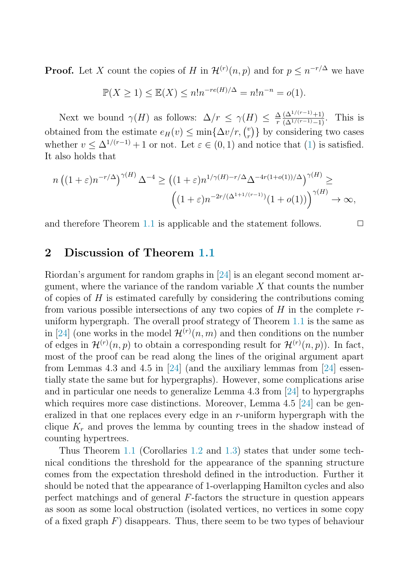**Proof.** Let X count the copies of H in  $\mathcal{H}^{(r)}(n, p)$  and for  $p \leq n^{-r/\Delta}$  we have

$$
\mathbb{P}(X \ge 1) \le \mathbb{E}(X) \le n!n^{-re(H)/\Delta} = n!n^{-n} = o(1).
$$

Next we bound  $\gamma(H)$  as follows:  $\Delta/r \leq \gamma(H) \leq \frac{\Delta(\Delta^{1/(r-1)}+1)}{\Gamma(\Delta^{1/(r-1)}-1)}$ . This is obtained from the estimate  $e_H(v) \leq \min\{\Delta v/r, {v \choose r}\}$  $r \choose r$  by considering two cases whether  $v \leq \Delta^{1/(r-1)} + 1$  or not. Let  $\varepsilon \in (0,1)$  and notice that  $(1)$  is satisfied. It also holds that

$$
n\left((1+\varepsilon)n^{-r/\Delta}\right)^{\gamma(H)}\Delta^{-4}\geq \left((1+\varepsilon)n^{1/\gamma(H)-r/\Delta}\Delta^{-4r(1+o(1))/\Delta}\right)^{\gamma(H)}\geq
$$

$$
\left((1+\varepsilon)n^{-2r/(\Delta^{1+1/(r-1)})}(1+o(1))\right)^{\gamma(H)}\to\infty,
$$

and therefore Theorem [1.1](#page-2-0) is applicable and the statement follows.  $\Box$ 

#### **2 Discussion of Theorem [1.1](#page-2-0)**

Riordan's argument for random graphs in [\[24\]](#page-8-0) is an elegant second moment argument, where the variance of the random variable  $X$  that counts the number of copies of  $H$  is estimated carefully by considering the contributions coming from various possible intersections of any two copies of  $H$  in the complete  $r$ uniform hypergraph. The overall proof strategy of Theorem [1.1](#page-2-0) is the same as in [\[24\]](#page-8-0) (one works in the model  $\mathcal{H}^{(r)}(n,m)$  and then conditions on the number of edges in  $\mathcal{H}^{(r)}(n,p)$  to obtain a corresponding result for  $\mathcal{H}^{(r)}(n,p)$ ). In fact, most of the proof can be read along the lines of the original argument apart from Lemmas 4.3 and 4.5 in [\[24\]](#page-8-0) (and the auxiliary lemmas from [24] essentially state the same but for hypergraphs). However, some complications arise and in particular one needs to generalize Lemma 4.3 from [\[24\]](#page-8-0) to hypergraphs which requires more case distinctions. Moreover, Lemma 4.5 [\[24\]](#page-8-0) can be generalized in that one replaces every edge in an  $r$ -uniform hypergraph with the clique  $K_r$  and proves the lemma by counting trees in the shadow instead of counting hypertrees.

Thus Theorem [1.1](#page-2-0) (Corollaries [1.2](#page-3-0) and [1.3\)](#page-3-0) states that under some technical conditions the threshold for the appearance of the spanning structure comes from the expectation threshold defined in the introduction. Further it should be noted that the appearance of 1-overlapping Hamilton cycles and also perfect matchings and of general F-factors the structure in question appears as soon as some local obstruction (isolated vertices, no vertices in some copy of a fixed graph  $F$ ) disappears. Thus, there seem to be two types of behaviour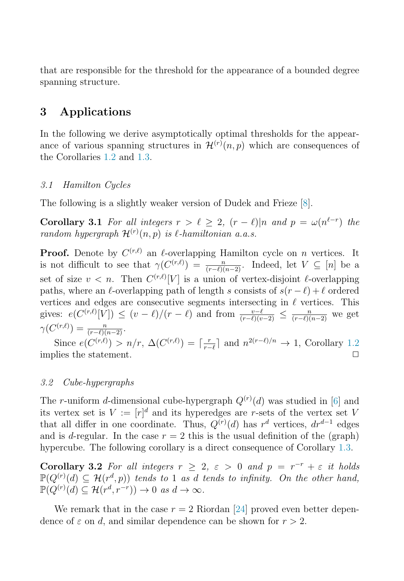that are responsible for the threshold for the appearance of a bounded degree spanning structure.

### **3 Applications**

In the following we derive asymptotically optimal thresholds for the appearance of various spanning structures in  $\mathcal{H}^{(r)}(n,p)$  which are consequences of the Corollaries [1.2](#page-3-0) and [1.3.](#page-3-0)

#### 3.1 Hamilton Cycles

The following is a slightly weaker version of Dudek and Frieze [\[8\]](#page-7-0).

**Corollary 3.1** For all integers  $r > \ell \geq 2$ ,  $(r - \ell)|n$  and  $p = \omega(n^{\ell-r})$  the random hypergraph  $\mathcal{H}^{(r)}(n,p)$  is  $\ell$ -hamiltonian a.a.s.

**Proof.** Denote by  $C^{(r,\ell)}$  an  $\ell$ -overlapping Hamilton cycle on n vertices. It is not difficult to see that  $\gamma(C^{(r,\ell)}) = \frac{n}{(r-\ell)(n-2)}$ . Indeed, let  $V \subseteq [n]$  be a set of size  $v < n$ . Then  $C^{(r,\ell)}[V]$  is a union of vertex-disjoint  $\ell$ -overlapping paths, where an  $\ell$ -overlapping path of length s consists of  $s(r - \ell) + \ell$  ordered vertices and edges are consecutive segments intersecting in  $\ell$  vertices. This gives:  $e(C^{(r,\ell)}[V]) \le (v-\ell)/(r-\ell)$  and from  $\frac{v-\ell}{(r-\ell)(v-2)} \le \frac{n}{(r-\ell)(n-2)}$  we get  $\gamma(C^{(r,\ell)}) = \frac{n}{(r-\ell)(n-2)}.$ 

Since  $e(C^{(r,\ell)}) > n/r$ ,  $\Delta(C^{(r,\ell)}) = \lceil \frac{r}{r-\ell} \rceil$  and  $n^{2(r-\ell)/n} \to 1$ , Corollary [1.2](#page-3-0) implies the statement.  $\Box$ 

#### 3.2 Cube-hypergraphs

The r-uniform d-dimensional cube-hypergraph  $Q^{(r)}(d)$  was studied in [\[6\]](#page-7-0) and its vertex set is  $V := [r]^d$  and its hyperedges are r-sets of the vertex set V that all differ in one coordinate. Thus,  $Q^{(r)}(d)$  has  $r^d$  vertices,  $dr^{d-1}$  edges and is d-regular. In the case  $r = 2$  this is the usual definition of the (graph) hypercube. The following corollary is a direct consequence of Corollary [1.3.](#page-3-0)

**Corollary 3.2** For all integers  $r \geq 2$ ,  $\varepsilon > 0$  and  $p = r^{-r} + \varepsilon$  it holds  $\mathbb{P}(Q^{(r)}(d) \subseteq \mathcal{H}(r^d, p))$  tends to 1 as d tends to infinity. On the other hand,  $\mathbb{P}(Q^{(r)}(d) \subseteq \mathcal{H}(r^d, r^{-r})) \to 0 \text{ as } d \to \infty.$ 

We remark that in the case  $r = 2$  Riordan [\[24\]](#page-8-0) proved even better dependence of  $\varepsilon$  on d, and similar dependence can be shown for  $r > 2$ .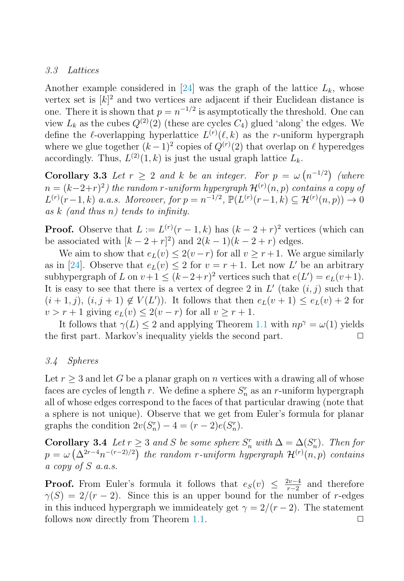#### 3.3 Lattices

Another example considered in [\[24\]](#page-8-0) was the graph of the lattice  $L_k$ , whose vertex set is  $[k]^2$  and two vertices are adjacent if their Euclidean distance is one. There it is shown that  $p = n^{-1/2}$  is asymptotically the threshold. One can view  $L_k$  as the cubes  $Q^{(2)}(2)$  (these are cycles  $C_4$ ) glued 'along' the edges. We define the l-overlapping hyperlattice  $L^{(r)}(\ell, k)$  as the r-uniform hypergraph where we glue together  $(k-1)^2$  copies of  $Q^{(r)}(2)$  that overlap on  $\ell$  hyperedges accordingly. Thus,  $L^{(2)}(1,k)$  is just the usual graph lattice  $L_k$ .

**Corollary 3.3** Let  $r \geq 2$  and k be an integer. For  $p = \omega(n^{-1/2})$  (where  $n=(k-2+r)^2)$  the random r-uniform hypergraph  ${\cal H}^{(r)}(n,p)$  contains a copy of  $L^{(r)}(r-1,k)$  a.a.s. Moreover, for  $p = n^{-1/2}$ ,  $\mathbb{P}(L^{(r)}(r-1,k) \subseteq \mathcal{H}^{(r)}(n,p)) \to 0$ as  $k$  (and thus n) tends to infinity.

**Proof.** Observe that  $L := L^{(r)}(r-1, k)$  has  $(k-2+r)^2$  vertices (which can be associated with  $[k-2+r]^2$  and  $2(k-1)(k-2+r)$  edges.

We aim to show that  $e_L(v) \leq 2(v-r)$  for all  $v \geq r+1$ . We argue similarly as in [\[24\]](#page-8-0). Observe that  $e_L(v) \leq 2$  for  $v = r + 1$ . Let now L' be an arbitrary subhypergraph of L on  $v+1 \leq (k-2+r)^2$  vertices such that  $e(L') = e_L(v+1)$ . It is easy to see that there is a vertex of degree 2 in  $L'$  (take  $(i, j)$  such that  $(i+1,j), (i,j+1) \notin V(L')$ . It follows that then  $e_L(v+1) \leq e_L(v) + 2$  for  $v > r + 1$  giving  $e_L(v) \leq 2(v - r)$  for all  $v \geq r + 1$ .

It follows that  $\gamma(L) \leq 2$  and applying Theorem [1.1](#page-2-0) with  $np^{\gamma} = \omega(1)$  yields the first part. Markov's inequality yields the second part.  $\Box$ 

#### 3.4 Spheres

Let  $r \geq 3$  and let G be a planar graph on n vertices with a drawing all of whose faces are cycles of length r. We define a sphere  $S_n^r$  as an r-uniform hypergraph all of whose edges correspond to the faces of that particular drawing (note that a sphere is not unique). Observe that we get from Euler's formula for planar graphs the condition  $2v(S_n^r) - 4 = (r-2)e(S_n^r)$ .

**Corollary 3.4** Let  $r \geq 3$  and S be some sphere  $S_n^r$  with  $\Delta = \Delta(S_n^r)$ . Then for  $p = \omega\left(\Delta^{2r-4}n^{-(r-2)/2}\right)$  the random r-uniform hypergraph  $\mathcal{H}^{(r)}(n,p)$  contains a copy of S a.a.s.

**Proof.** From Euler's formula it follows that  $e_S(v) \leq \frac{2v-4}{r-2}$  and therefore  $\gamma(S)=2/(r-2)$ . Since this is an upper bound for the number of r-edges in this induced hypergraph we immideately get  $\gamma = 2/(r-2)$ . The statement follows now directly from Theorem [1.1.](#page-2-0)  $\Box$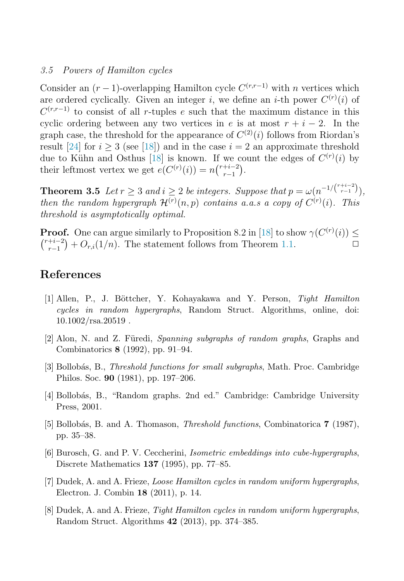#### <span id="page-7-0"></span>3.5 Powers of Hamilton cycles

Consider an  $(r-1)$ -overlapping Hamilton cycle  $C^{(r,r-1)}$  with n vertices which are ordered cyclically. Given an integer i, we define an *i*-th power  $C^{(r)}(i)$  of  $C^{(r,r-1)}$  to consist of all r-tuples e such that the maximum distance in this cyclic ordering between any two vertices in e is at most  $r + i - 2$ . In the graph case, the threshold for the appearance of  $C^{(2)}(i)$  follows from Riordan's result [\[24\]](#page-8-0) for  $i > 3$  (see [\[18\]](#page-8-0)) and in the case  $i = 2$  an approximate threshold due to Kühn and Osthus [\[18\]](#page-8-0) is known. If we count the edges of  $C^{(r)}(i)$  by their leftmost vertex we get  $e(C^{(r)}(i)) = n\binom{r+i-2}{r-1}$  $_{r-1}^{+i-2}$ .

**Theorem 3.5** Let  $r \geq 3$  and  $i \geq 2$  be integers. Suppose that  $p = \omega(n^{-1/{\binom{r+i-2}{r-1}}})$ , then the random hypergraph  $\mathcal{H}^{(r)}(n,p)$  contains a.a.s a copy of  $C^{(r)}(i)$ . This threshold is asymptotically optimal.

**Proof.** One can argue similarly to Proposition 8.2 in [\[18\]](#page-8-0) to show  $\gamma(C^{(r)}(i)) \leq$  $\binom{r+i-2}{r-1}$  $r_{r-1}^{+i-2}$  +  $O_{r,i}(1/n)$ . The statement follows from Theorem [1.1.](#page-2-0)  $\Box$ 

#### **References**

- [1] Allen, P., J. B¨ottcher, Y. Kohayakawa and Y. Person, Tight Hamilton cycles in random hypergraphs, Random Struct. Algorithms, online, doi:  $10.1002/rsa.20519$ .
- $[2]$  Alon, N. and Z. Füredi, Spanning subgraphs of random graphs, Graphs and Combinatorics **8** (1992), pp. 91–94.
- [3] Bollobás, B., *Threshold functions for small subgraphs*, Math. Proc. Cambridge Philos. Soc. **90** (1981), pp. 197–206.
- [4] Bollob´as, B., "Random graphs. 2nd ed." Cambridge: Cambridge University Press, 2001.
- [5] Bollobás, B. and A. Thomason, *Threshold functions*, Combinatorica **7** (1987), pp. 35–38.
- [6] Burosch, G. and P. V. Ceccherini, Isometric embeddings into cube-hypergraphs, Discrete Mathematics **137** (1995), pp. 77–85.
- [7] Dudek, A. and A. Frieze, Loose Hamilton cycles in random uniform hypergraphs, Electron. J. Combin **18** (2011), p. 14.
- [8] Dudek, A. and A. Frieze, Tight Hamilton cycles in random uniform hypergraphs, Random Struct. Algorithms **42** (2013), pp. 374–385.